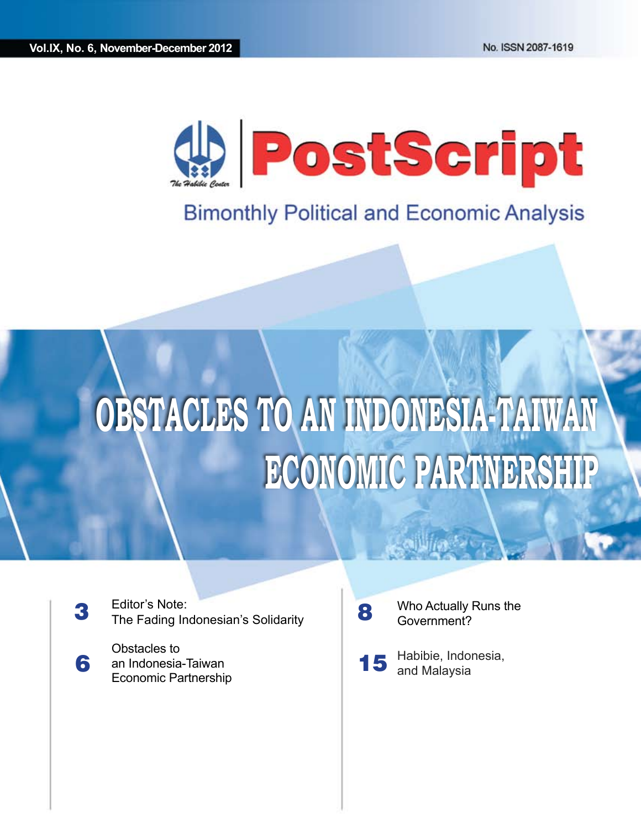

## **Bimonthly Political and Economic Analysis**

# **OBSTACLES TO AN INDONESIA-TAIWAN ECONOMIC PARTNERSHIP**

3 Editor's Note: The Fading Indonesian's Solidarity

6 Obstacles to an Indonesia-Taiwan Economic Partnership 8

Who Actually Runs the Government?

15 Habibie, Indonesia, and Malaysia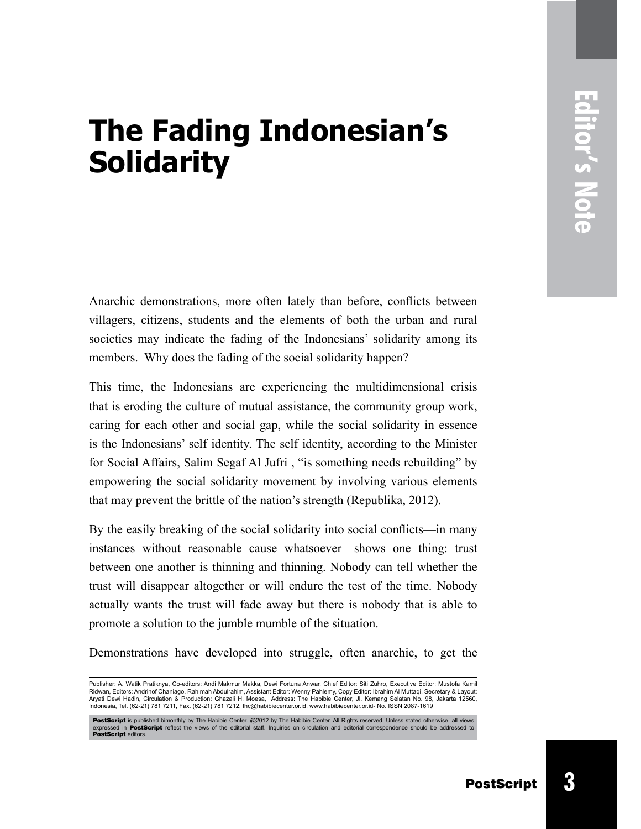# **The Fading Indonesian's Solidarity**

Anarchic demonstrations, more often lately than before, conflicts between villagers, citizens, students and the elements of both the urban and rural societies may indicate the fading of the Indonesians' solidarity among its members. Why does the fading of the social solidarity happen?

This time, the Indonesians are experiencing the multidimensional crisis that is eroding the culture of mutual assistance, the community group work, caring for each other and social gap, while the social solidarity in essence is the Indonesians' self identity. The self identity, according to the Minister for Social Affairs, Salim Segaf Al Jufri , "is something needs rebuilding" by empowering the social solidarity movement by involving various elements that may prevent the brittle of the nation's strength (Republika, 2012).

By the easily breaking of the social solidarity into social conflicts—in many instances without reasonable cause whatsoever—shows one thing: trust between one another is thinning and thinning. Nobody can tell whether the trust will disappear altogether or will endure the test of the time. Nobody actually wants the trust will fade away but there is nobody that is able to promote a solution to the jumble mumble of the situation.

Demonstrations have developed into struggle, often anarchic, to get the

Publisher: A. Watik Pratiknya, Co-editors: Andi Makmur Makka, Dewi Fortuna Anwar, Chief Editor: Siti Zuhro, Executive Editor: Mustofa Kamil Ridwan, Editors: Andrinof Chaniago, Rahimah Abdulrahim, Assistant Editor: Wenny Pahlemy, Copy Editor: Ibrahim Al Muttaqi, Secretary & Layout: Aryati Dewi Hadin, Circulation & Production: Ghazali H. Moesa, Address: The Habibie Center, Jl. Kemang Selatan No. 98, Jakarta 12560, Indonesia, Tel. (62-21) 781 7211, Fax. (62-21) 781 7212, thc@habibiecenter.or.id, www.habibiecenter.or.id- No. ISSN 2087-1619

PostScript is published bimonthly by The Habibie Center. @2012 by The Habibie Center. All Rights reserved. Unless stated otherwise, all views<br>expressed in PostScript reflect the views of the editorial staff. Inquiries on c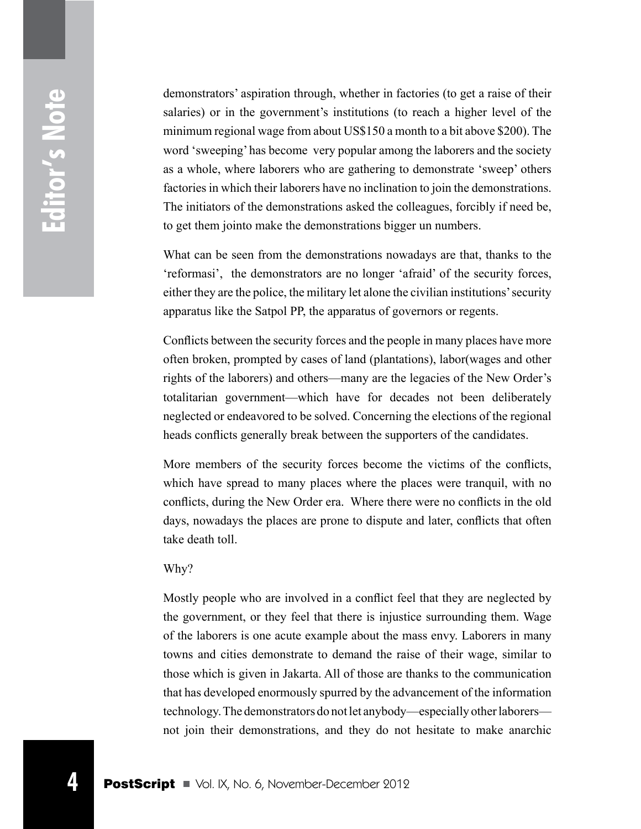demonstrators' aspiration through, whether in factories (to get a raise of their salaries) or in the government's institutions (to reach a higher level of the minimum regional wage from about US\$150 a month to a bit above \$200). The word 'sweeping' has become very popular among the laborers and the society as a whole, where laborers who are gathering to demonstrate 'sweep' others factories in which their laborers have no inclination to join the demonstrations. The initiators of the demonstrations asked the colleagues, forcibly if need be, to get them jointo make the demonstrations bigger un numbers.

What can be seen from the demonstrations nowadays are that, thanks to the 'reformasi', the demonstrators are no longer 'afraid' of the security forces, either they are the police, the military let alone the civilian institutions' security apparatus like the Satpol PP, the apparatus of governors or regents.

Conflicts between the security forces and the people in many places have more often broken, prompted by cases of land (plantations), labor(wages and other rights of the laborers) and others—many are the legacies of the New Order's totalitarian government—which have for decades not been deliberately neglected or endeavored to be solved. Concerning the elections of the regional heads conflicts generally break between the supporters of the candidates.

More members of the security forces become the victims of the conflicts, which have spread to many places where the places were tranquil, with no conflicts, during the New Order era. Where there were no conflicts in the old days, nowadays the places are prone to dispute and later, conflicts that often take death toll.

#### Why?

Mostly people who are involved in a conflict feel that they are neglected by the government, or they feel that there is injustice surrounding them. Wage of the laborers is one acute example about the mass envy. Laborers in many towns and cities demonstrate to demand the raise of their wage, similar to those which is given in Jakarta. All of those are thanks to the communication that has developed enormously spurred by the advancement of the information technology. The demonstrators do not let anybody—especially other laborers not join their demonstrations, and they do not hesitate to make anarchic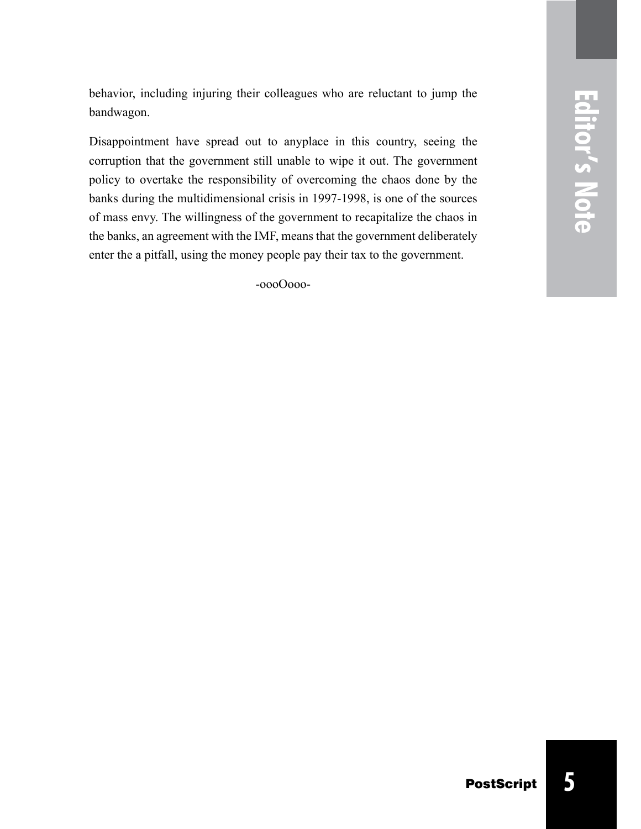behavior, including injuring their colleagues who are reluctant to jump the bandwagon.

Disappointment have spread out to anyplace in this country, seeing the corruption that the government still unable to wipe it out. The government policy to overtake the responsibility of overcoming the chaos done by the banks during the multidimensional crisis in 1997-1998, is one of the sources of mass envy. The willingness of the government to recapitalize the chaos in the banks, an agreement with the IMF, means that the government deliberately enter the a pitfall, using the money people pay their tax to the government.

-oooOooo-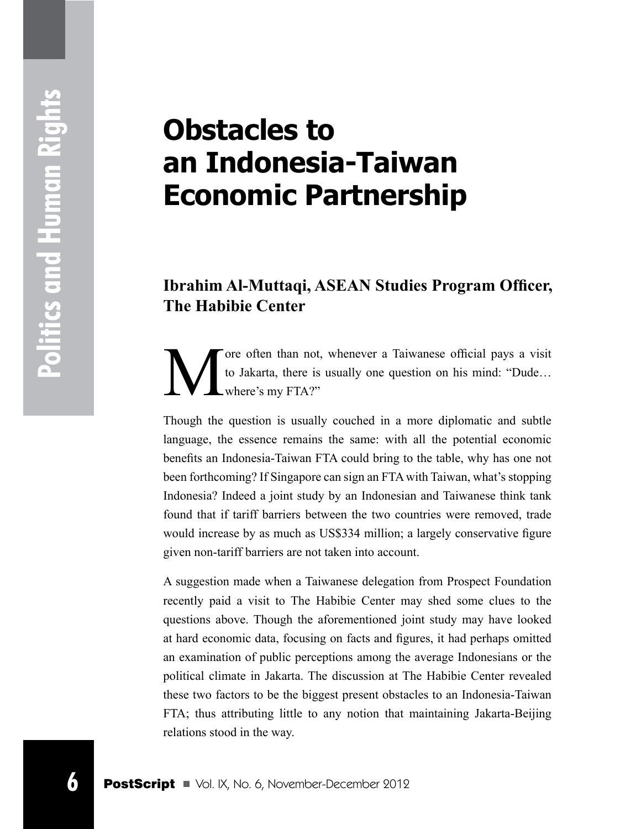# **Obstacles to an Indonesia-Taiwan Economic Partnership**

### **Ibrahim Al-Muttaqi, ASEAN Studies Program Officer, The Habibie Center**

ore often than not, whenever a Taiwanese official pays a visit to Jakarta, there is usually one question on his mind: "Dude… where's my FTA?"

Though the question is usually couched in a more diplomatic and subtle language, the essence remains the same: with all the potential economic benefits an Indonesia-Taiwan FTA could bring to the table, why has one not been forthcoming? If Singapore can sign an FTA with Taiwan, what's stopping Indonesia? Indeed a joint study by an Indonesian and Taiwanese think tank found that if tariff barriers between the two countries were removed, trade would increase by as much as US\$334 million; a largely conservative figure given non-tariff barriers are not taken into account.

**Example 10** The value of the way.<br> **6** Post Collect Allentia, there is usually one quest where's my FTA?"<br>
Though the question is usually couched in a 1<br>
language, the essence remains the same: with<br>
benefits an Indonesia A suggestion made when a Taiwanese delegation from Prospect Foundation recently paid a visit to The Habibie Center may shed some clues to the questions above. Though the aforementioned joint study may have looked at hard economic data, focusing on facts and figures, it had perhaps omitted an examination of public perceptions among the average Indonesians or the political climate in Jakarta. The discussion at The Habibie Center revealed these two factors to be the biggest present obstacles to an Indonesia-Taiwan FTA; thus attributing little to any notion that maintaining Jakarta-Beijing relations stood in the way.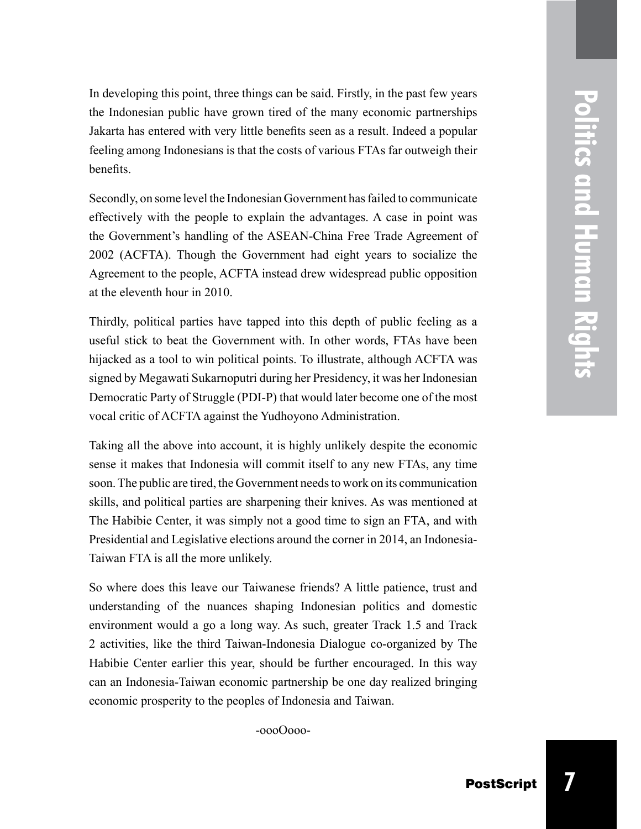In developing this point, three things can be said. Firstly, in the past few years the Indonesian public have grown tired of the many economic partnerships Jakarta has entered with very little benefits seen as a result. Indeed a popular feeling among Indonesians is that the costs of various FTAs far outweigh their benefits.

Secondly, on some level the Indonesian Government has failed to communicate effectively with the people to explain the advantages. A case in point was the Government's handling of the ASEAN-China Free Trade Agreement of 2002 (ACFTA). Though the Government had eight years to socialize the Agreement to the people, ACFTA instead drew widespread public opposition at the eleventh hour in 2010.

Thirdly, political parties have tapped into this depth of public feeling as a useful stick to beat the Government with. In other words, FTAs have been hijacked as a tool to win political points. To illustrate, although ACFTA was signed by Megawati Sukarnoputri during her Presidency, it was her Indonesian Democratic Party of Struggle (PDI-P) that would later become one of the most vocal critic of ACFTA against the Yudhoyono Administration.

Taking all the above into account, it is highly unlikely despite the economic sense it makes that Indonesia will commit itself to any new FTAs, any time soon. The public are tired, the Government needs to work on its communication skills, and political parties are sharpening their knives. As was mentioned at The Habibie Center, it was simply not a good time to sign an FTA, and with Presidential and Legislative elections around the corner in 2014, an Indonesia-Taiwan FTA is all the more unlikely.

So where does this leave our Taiwanese friends? A little patience, trust and understanding of the nuances shaping Indonesian politics and domestic environment would a go a long way. As such, greater Track 1.5 and Track 2 activities, like the third Taiwan-Indonesia Dialogue co-organized by The Habibie Center earlier this year, should be further encouraged. In this way can an Indonesia-Taiwan economic partnership be one day realized bringing economic prosperity to the peoples of Indonesia and Taiwan.

-oooOooo-

**7**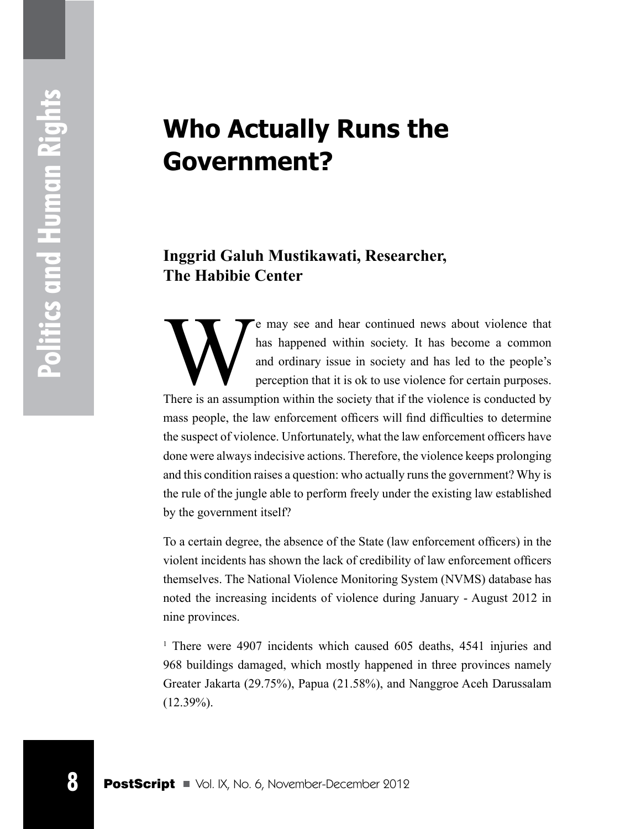# **Who Actually Runs the Government?**

### **Inggrid Galuh Mustikawati, Researcher, The Habibie Center**

**Example 18 Post Control Control Control Control Control Control Control Control Control Control Control Control Control Control Control Control Control Control Control Control Control Control Control Control Control Contr** e may see and hear continued news about violence that has happened within society. It has become a common and ordinary issue in society and has led to the people's perception that it is ok to use violence for certain purposes. There is an assumption within the society that if the violence is conducted by mass people, the law enforcement officers will find difficulties to determine the suspect of violence. Unfortunately, what the law enforcement officers have done were always indecisive actions. Therefore, the violence keeps prolonging and this condition raises a question: who actually runs the government? Why is the rule of the jungle able to perform freely under the existing law established by the government itself?

To a certain degree, the absence of the State (law enforcement officers) in the violent incidents has shown the lack of credibility of law enforcement officers themselves. The National Violence Monitoring System (NVMS) database has noted the increasing incidents of violence during January - August 2012 in nine provinces.

<sup>1</sup> There were 4907 incidents which caused 605 deaths, 4541 injuries and 968 buildings damaged, which mostly happened in three provinces namely Greater Jakarta (29.75%), Papua (21.58%), and Nanggroe Aceh Darussalam  $(12.39\%)$ .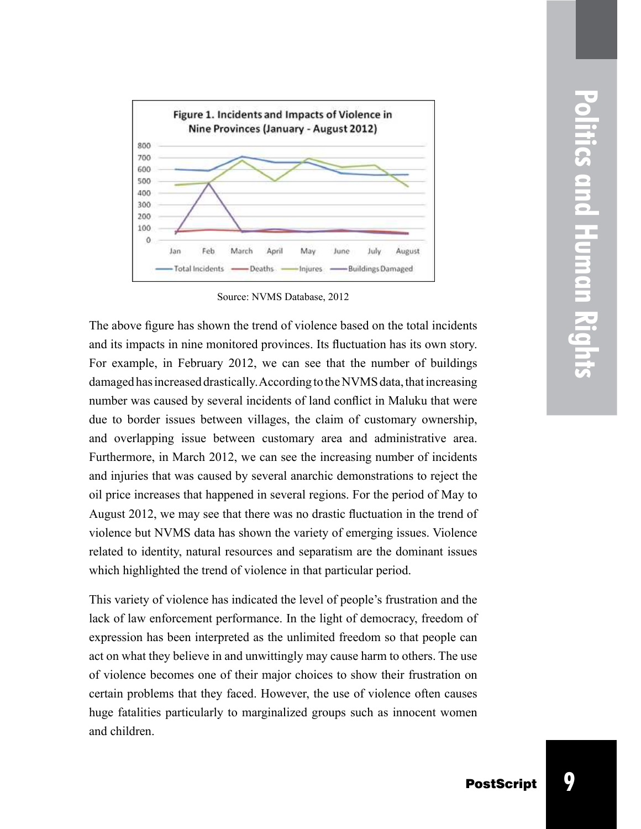

Source: NVMS Database, 2012

The above figure has shown the trend of violence based on the total incidents and its impacts in nine monitored provinces. Its fluctuation has its own story. For example, in February 2012, we can see that the number of buildings damaged has increased drastically. According to the NVMS data, that increasing number was caused by several incidents of land conflict in Maluku that were due to border issues between villages, the claim of customary ownership, and overlapping issue between customary area and administrative area. Furthermore, in March 2012, we can see the increasing number of incidents and injuries that was caused by several anarchic demonstrations to reject the oil price increases that happened in several regions. For the period of May to August 2012, we may see that there was no drastic fluctuation in the trend of violence but NVMS data has shown the variety of emerging issues. Violence related to identity, natural resources and separatism are the dominant issues which highlighted the trend of violence in that particular period.

This variety of violence has indicated the level of people's frustration and the lack of law enforcement performance. In the light of democracy, freedom of expression has been interpreted as the unlimited freedom so that people can act on what they believe in and unwittingly may cause harm to others. The use of violence becomes one of their major choices to show their frustration on certain problems that they faced. However, the use of violence often causes huge fatalities particularly to marginalized groups such as innocent women and children.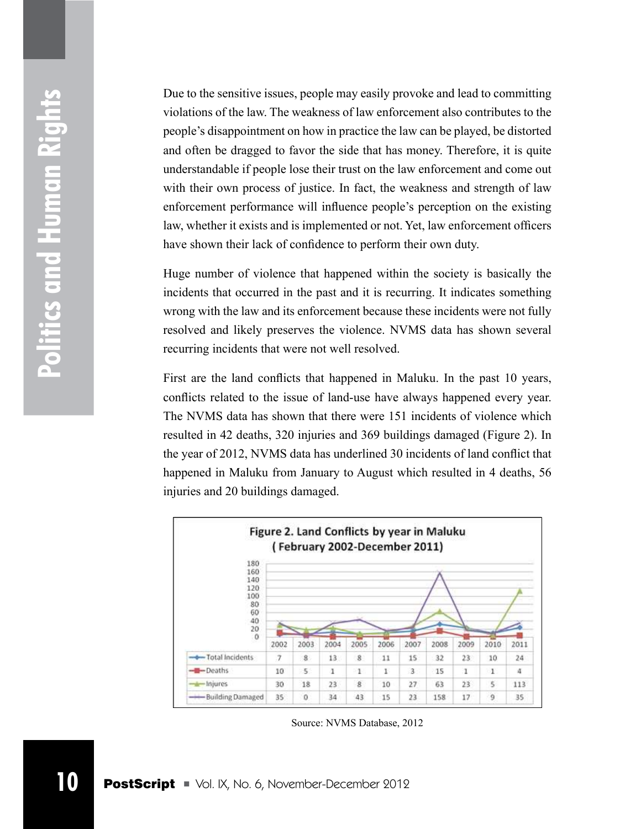Due to the sensitive issues, people may easily provoke and lead to committing violations of the law. The weakness of law enforcement also contributes to the people's disappointment on how in practice the law can be played, be distorted and often be dragged to favor the side that has money. Therefore, it is quite understandable if people lose their trust on the law enforcement and come out with their own process of justice. In fact, the weakness and strength of law enforcement performance will influence people's perception on the existing law, whether it exists and is implemented or not. Yet, law enforcement officers have shown their lack of confidence to perform their own duty.

Huge number of violence that happened within the society is basically the incidents that occurred in the past and it is recurring. It indicates something wrong with the law and its enforcement because these incidents were not fully resolved and likely preserves the violence. NVMS data has shown several recurring incidents that were not well resolved.

First are the land conflicts that happened in Maluku. In the past 10 years, conflicts related to the issue of land-use have always happened every year. The NVMS data has shown that there were 151 incidents of violence which resulted in 42 deaths, 320 injuries and 369 buildings damaged (Figure 2). In the year of 2012, NVMS data has underlined 30 incidents of land conflict that happened in Maluku from January to August which resulted in 4 deaths, 56 injuries and 20 buildings damaged.



Source: NVMS Database, 2012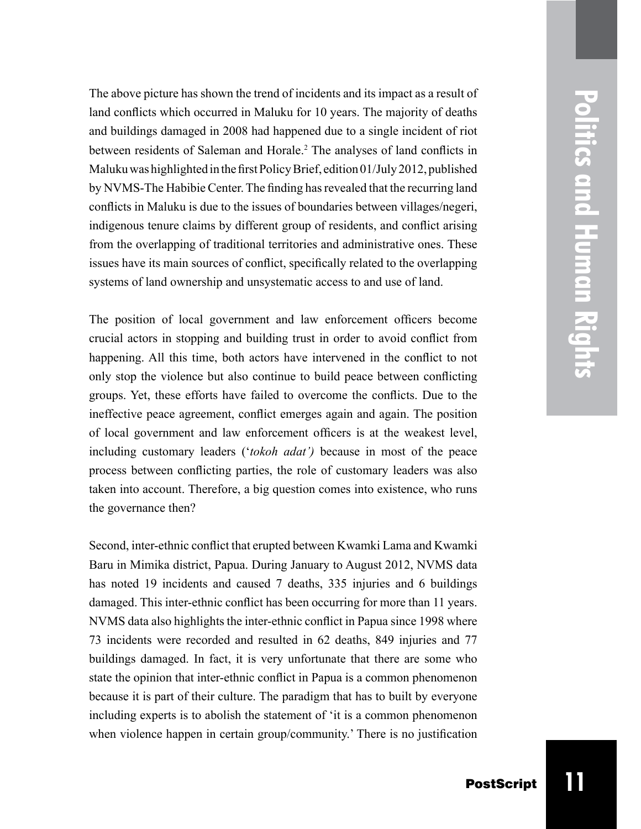**Politics and Human Rights Politics and Human Rights**

The above picture has shown the trend of incidents and its impact as a result of land conflicts which occurred in Maluku for 10 years. The majority of deaths and buildings damaged in 2008 had happened due to a single incident of riot between residents of Saleman and Horale. 2 The analyses of land conflicts in Maluku was highlighted in the first Policy Brief, edition 01/July 2012, published by NVMS-The Habibie Center. The finding has revealed that the recurring land conflicts in Maluku is due to the issues of boundaries between villages/negeri, indigenous tenure claims by different group of residents, and conflict arising from the overlapping of traditional territories and administrative ones. These issues have its main sources of conflict, specifically related to the overlapping systems of land ownership and unsystematic access to and use of land.

The position of local government and law enforcement officers become crucial actors in stopping and building trust in order to avoid conflict from happening. All this time, both actors have intervened in the conflict to not only stop the violence but also continue to build peace between conflicting groups. Yet, these efforts have failed to overcome the conflicts. Due to the ineffective peace agreement, conflict emerges again and again. The position of local government and law enforcement officers is at the weakest level, including customary leaders ('*tokoh adat')* because in most of the peace process between conflicting parties, the role of customary leaders was also taken into account. Therefore, a big question comes into existence, who runs the governance then?

Second, inter-ethnic conflict that erupted between Kwamki Lama and Kwamki Baru in Mimika district, Papua. During January to August 2012, NVMS data has noted 19 incidents and caused 7 deaths, 335 injuries and 6 buildings damaged. This inter-ethnic conflict has been occurring for more than 11 years. NVMS data also highlights the inter-ethnic conflict in Papua since 1998 where 73 incidents were recorded and resulted in 62 deaths, 849 injuries and 77 buildings damaged. In fact, it is very unfortunate that there are some who state the opinion that inter-ethnic conflict in Papua is a common phenomenon because it is part of their culture. The paradigm that has to built by everyone including experts is to abolish the statement of 'it is a common phenomenon when violence happen in certain group/community.' There is no justification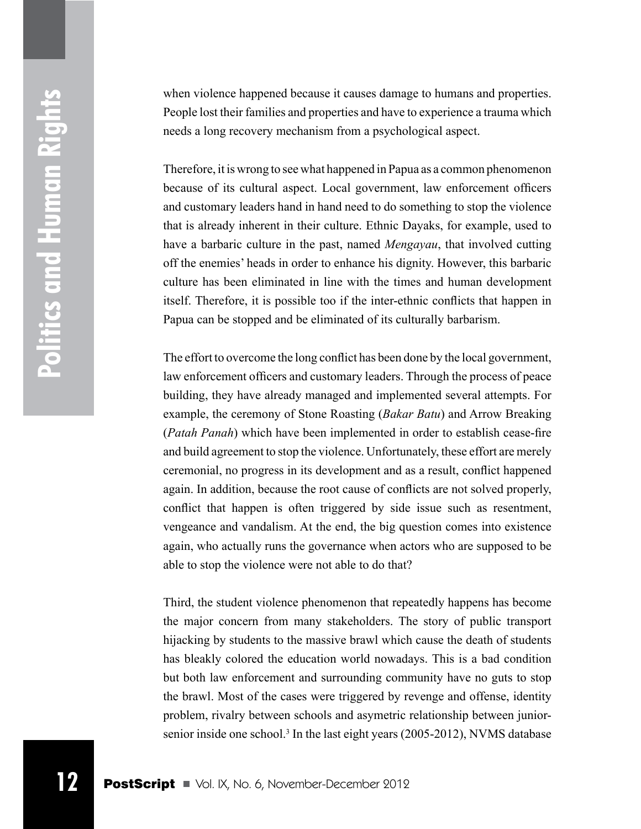Politics and Human Rights **Politics and Human Rights**

when violence happened because it causes damage to humans and properties. People lost their families and properties and have to experience a trauma which needs a long recovery mechanism from a psychological aspect.

Therefore, it is wrong to see what happened in Papua as a common phenomenon because of its cultural aspect. Local government, law enforcement officers and customary leaders hand in hand need to do something to stop the violence that is already inherent in their culture. Ethnic Dayaks, for example, used to have a barbaric culture in the past, named *Mengayau*, that involved cutting off the enemies' heads in order to enhance his dignity. However, this barbaric culture has been eliminated in line with the times and human development itself. Therefore, it is possible too if the inter-ethnic conflicts that happen in Papua can be stopped and be eliminated of its culturally barbarism.

The effort to overcome the long conflict has been done by the local government, law enforcement officers and customary leaders. Through the process of peace building, they have already managed and implemented several attempts. For example, the ceremony of Stone Roasting (*Bakar Batu*) and Arrow Breaking (*Patah Panah*) which have been implemented in order to establish cease-fire and build agreement to stop the violence. Unfortunately, these effort are merely ceremonial, no progress in its development and as a result, conflict happened again. In addition, because the root cause of conflicts are not solved properly, conflict that happen is often triggered by side issue such as resentment, vengeance and vandalism. At the end, the big question comes into existence again, who actually runs the governance when actors who are supposed to be able to stop the violence were not able to do that?

Third, the student violence phenomenon that repeatedly happens has become the major concern from many stakeholders. The story of public transport hijacking by students to the massive brawl which cause the death of students has bleakly colored the education world nowadays. This is a bad condition but both law enforcement and surrounding community have no guts to stop the brawl. Most of the cases were triggered by revenge and offense, identity problem, rivalry between schools and asymetric relationship between juniorsenior inside one school.<sup>3</sup> In the last eight years (2005-2012), NVMS database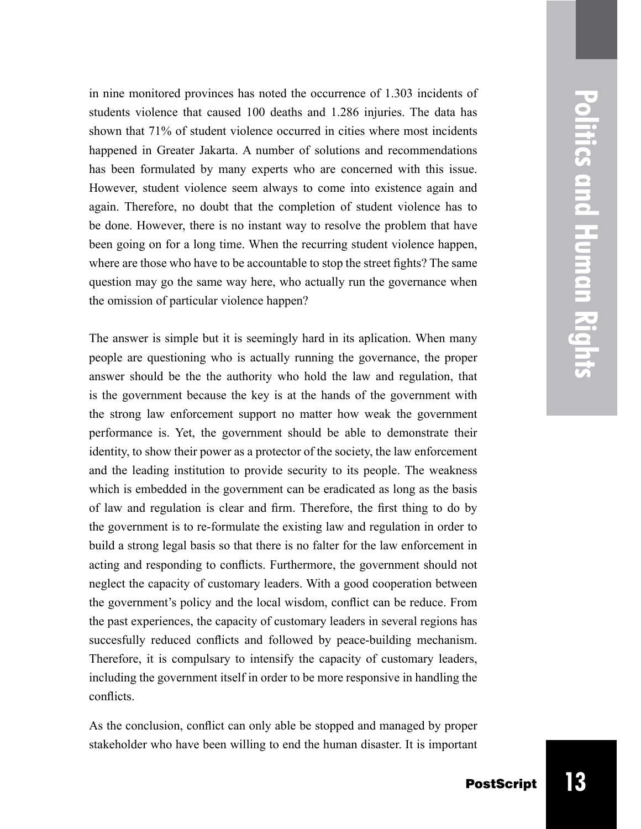**Politics and Human Rights Politics and Human Rights**

in nine monitored provinces has noted the occurrence of 1.303 incidents of students violence that caused 100 deaths and 1.286 injuries. The data has shown that 71% of student violence occurred in cities where most incidents happened in Greater Jakarta. A number of solutions and recommendations has been formulated by many experts who are concerned with this issue. However, student violence seem always to come into existence again and again. Therefore, no doubt that the completion of student violence has to be done. However, there is no instant way to resolve the problem that have been going on for a long time. When the recurring student violence happen, where are those who have to be accountable to stop the street fights? The same question may go the same way here, who actually run the governance when the omission of particular violence happen?

The answer is simple but it is seemingly hard in its aplication. When many people are questioning who is actually running the governance, the proper answer should be the the authority who hold the law and regulation, that is the government because the key is at the hands of the government with the strong law enforcement support no matter how weak the government performance is. Yet, the government should be able to demonstrate their identity, to show their power as a protector of the society, the law enforcement and the leading institution to provide security to its people. The weakness which is embedded in the government can be eradicated as long as the basis of law and regulation is clear and firm. Therefore, the first thing to do by the government is to re-formulate the existing law and regulation in order to build a strong legal basis so that there is no falter for the law enforcement in acting and responding to conflicts. Furthermore, the government should not neglect the capacity of customary leaders. With a good cooperation between the government's policy and the local wisdom, conflict can be reduce. From the past experiences, the capacity of customary leaders in several regions has succesfully reduced conflicts and followed by peace-building mechanism. Therefore, it is compulsary to intensify the capacity of customary leaders, including the government itself in order to be more responsive in handling the conflicts.

As the conclusion, conflict can only able be stopped and managed by proper stakeholder who have been willing to end the human disaster. It is important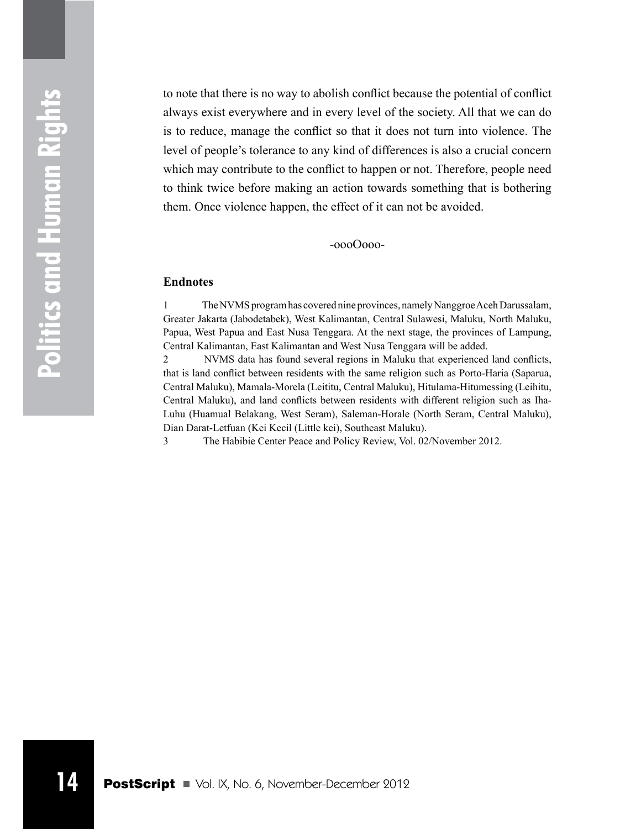to note that there is no way to abolish conflict because the potential of conflict always exist everywhere and in every level of the society. All that we can do is to reduce, manage the conflict so that it does not turn into violence. The level of people's tolerance to any kind of differences is also a crucial concern which may contribute to the conflict to happen or not. Therefore, people need to think twice before making an action towards something that is bothering them. Once violence happen, the effect of it can not be avoided.

-oooOooo-

#### **Endnotes**

1 The NVMS program has covered nine provinces, namely Nanggroe Aceh Darussalam, Greater Jakarta (Jabodetabek), West Kalimantan, Central Sulawesi, Maluku, North Maluku, Papua, West Papua and East Nusa Tenggara. At the next stage, the provinces of Lampung, Central Kalimantan, East Kalimantan and West Nusa Tenggara will be added.

2 NVMS data has found several regions in Maluku that experienced land conflicts, that is land conflict between residents with the same religion such as Porto-Haria (Saparua, Central Maluku), Mamala-Morela (Leititu, Central Maluku), Hitulama-Hitumessing (Leihitu, Central Maluku), and land conflicts between residents with different religion such as Iha-Luhu (Huamual Belakang, West Seram), Saleman-Horale (North Seram, Central Maluku), Dian Darat-Letfuan (Kei Kecil (Little kei), Southeast Maluku).

3 The Habibie Center Peace and Policy Review, Vol. 02/November 2012.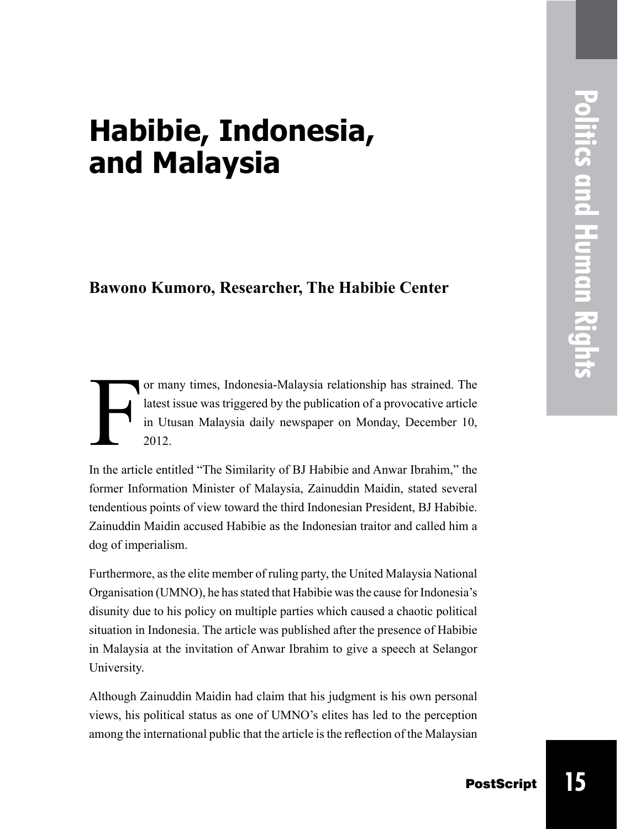# **Habibie, Indonesia, and Malaysia**

### **Bawono Kumoro, Researcher, The Habibie Center**

F or many times, Indonesia-Malaysia relationship has strained. The latest issue was triggered by the publication of a provocative article in Utusan Malaysia daily newspaper on Monday, December 10, 2012.

In the article entitled "The Similarity of BJ Habibie and Anwar Ibrahim," the former Information Minister of Malaysia, Zainuddin Maidin, stated several tendentious points of view toward the third Indonesian President, BJ Habibie. Zainuddin Maidin accused Habibie as the Indonesian traitor and called him a dog of imperialism.

Furthermore, as the elite member of ruling party, the United Malaysia National Organisation (UMNO), he has stated that Habibie was the cause for Indonesia's disunity due to his policy on multiple parties which caused a chaotic political situation in Indonesia. The article was published after the presence of Habibie in Malaysia at the invitation of Anwar Ibrahim to give a speech at Selangor University.

Although Zainuddin Maidin had claim that his judgment is his own personal views, his political status as one of UMNO's elites has led to the perception among the international public that the article is the reflection of the Malaysian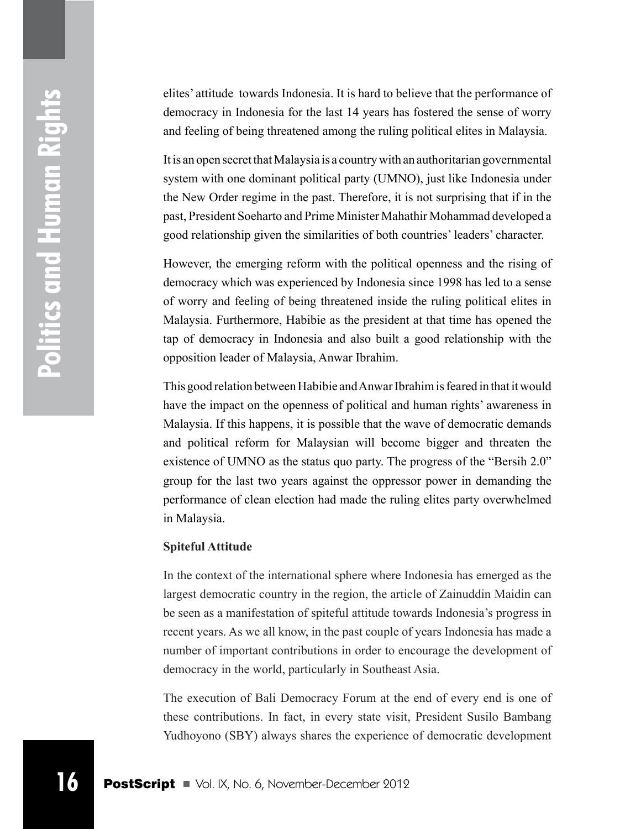elites' attitude towards Indonesia. It is hard to believe that the performance of democracy in Indonesia for the last 14 years has fostered the sense of worry and feeling of being threatened among the ruling political elites in Malaysia.

It is an open secret that Malaysia is a country with an authoritarian governmental system with one dominant political party (UMNO), just like Indonesia under the New Order regime in the past. Therefore, it is not surprising that if in the past, President Soeharto and Prime Minister Mahathir Mohammad developed a good relationship given the similarities of both countries' leaders' character.

However, the emerging reform with the political openness and the rising of democracy which was experienced by Indonesia since 1998 has led to a sense of worry and feeling of being threatened inside the ruling political elites in Malaysia. Furthermore, Habibie as the president at that time has opened the tap of democracy in Indonesia and also built a good relationship with the opposition leader of Malaysia, Anwar Ibrahim.

This good relation between Habibie and Anwar Ibrahim is feared in that it would have the impact on the openness of political and human rights' awareness in Malaysia. If this happens, it is possible that the wave of democratic demands and political reform for Malaysian will become bigger and threaten the existence of UMNO as the status quo party. The progress of the "Bersih 2.0" group for the last two years against the oppressor power in demanding the performance of clean election had made the ruling elites party overwhelmed in Malaysia.

#### **Spiteful Attitude**

In the context of the international sphere where Indonesia has emerged as the largest democratic country in the region, the article of Zainuddin Maidin can be seen as a manifestation of spiteful attitude towards Indonesia's progress in recent years. As we all know, in the past couple of years Indonesia has made a number of important contributions in order to encourage the development of democracy in the world, particularly in Southeast Asia.

The execution of Bali Democracy Forum at the end of every end is one of these contributions. In fact, in every state visit, President Susilo Bambang Yudhoyono (SBY) always shares the experience of democratic development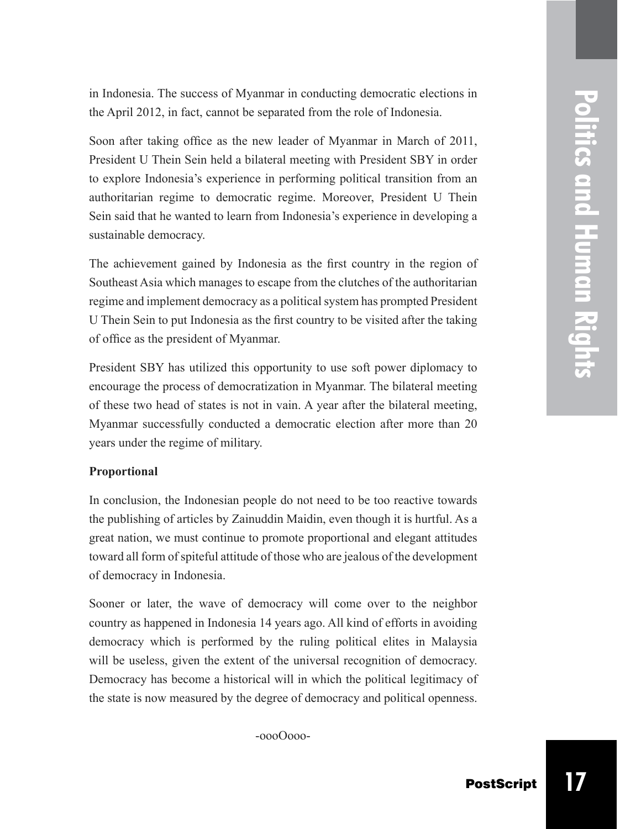in Indonesia. The success of Myanmar in conducting democratic elections in the April 2012, in fact, cannot be separated from the role of Indonesia.

Soon after taking office as the new leader of Myanmar in March of 2011, President U Thein Sein held a bilateral meeting with President SBY in order to explore Indonesia's experience in performing political transition from an authoritarian regime to democratic regime. Moreover, President U Thein Sein said that he wanted to learn from Indonesia's experience in developing a sustainable democracy.

The achievement gained by Indonesia as the first country in the region of Southeast Asia which manages to escape from the clutches of the authoritarian regime and implement democracy as a political system has prompted President U Thein Sein to put Indonesia as the first country to be visited after the taking of office as the president of Myanmar.

President SBY has utilized this opportunity to use soft power diplomacy to encourage the process of democratization in Myanmar. The bilateral meeting of these two head of states is not in vain. A year after the bilateral meeting, Myanmar successfully conducted a democratic election after more than 20 years under the regime of military.

#### **Proportional**

In conclusion, the Indonesian people do not need to be too reactive towards the publishing of articles by Zainuddin Maidin, even though it is hurtful. As a great nation, we must continue to promote proportional and elegant attitudes toward all form of spiteful attitude of those who are jealous of the development of democracy in Indonesia.

Sooner or later, the wave of democracy will come over to the neighbor country as happened in Indonesia 14 years ago. All kind of efforts in avoiding democracy which is performed by the ruling political elites in Malaysia will be useless, given the extent of the universal recognition of democracy. Democracy has become a historical will in which the political legitimacy of the state is now measured by the degree of democracy and political openness.

-oooOooo-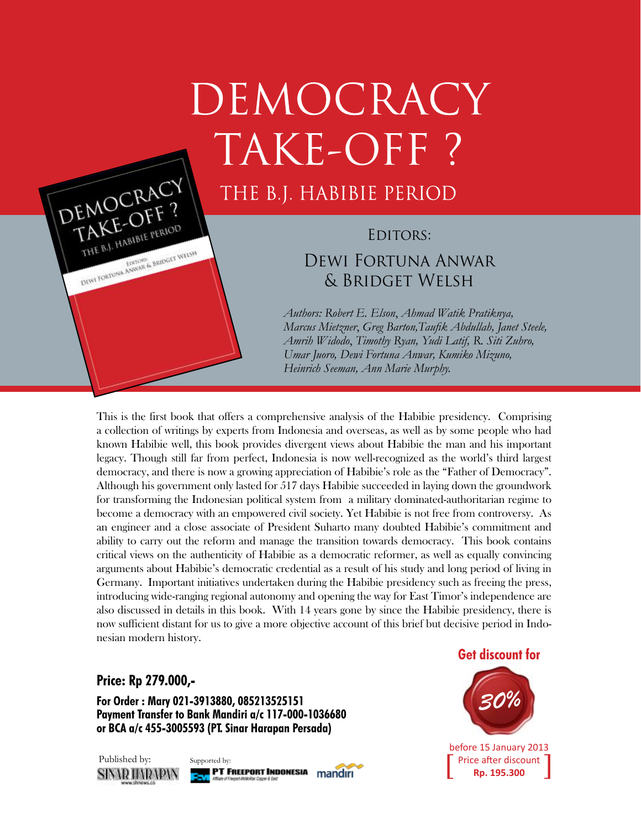# DEMOCRACY TAKE-OFF?

### THE B.J. HABIBIE PERIOD

### EDITORS: Dewi Fortuna Anwar & Bridget Welsh

*Authors: Robert E. Elson*, *Ahmad Watik Pratiknya, Marcus Mietzner*, *Greg Barton,Taufik Abdullah, Janet Steele, Amrih Widodo*, *Timothy Ryan, Yudi Latif, R. Siti Zuhro, Umar Juoro, Dewi Fortuna Anwar, Kumiko Mizuno, Heinrich Seeman, Ann Marie Murphy.*

This is the first book that offers a comprehensive analysis of the Habibie presidency. Comprising a collection of writings by experts from Indonesia and overseas, as well as by some people who had known Habibie well, this book provides divergent views about Habibie the man and his important legacy. Though still far from perfect, Indonesia is now well-recognized as the world's third largest democracy, and there is now a growing appreciation of Habibie's role as the "Father of Democracy". Although his government only lasted for 517 days Habibie succeeded in laying down the groundwork for transforming the Indonesian political system from a military dominated-authoritarian regime to become a democracy with an empowered civil society. Yet Habibie is not free from controversy. As an engineer and a close associate of President Suharto many doubted Habibie's commitment and ability to carry out the reform and manage the transition towards democracy. This book contains critical views on the authenticity of Habibie as a democratic reformer, as well as equally convincing arguments about Habibie's democratic credential as a result of his study and long period of living in Germany. Important initiatives undertaken during the Habibie presidency such as freeing the press, introducing wide-ranging regional autonomy and opening the way for East Timor's independence are also discussed in details in this book. With 14 years gone by since the Habibie presidency, there is now sufficient distant for us to give a more objective account of this brief but decisive period in Indonesian modern history.

#### **Price: Rp 279.000,-**

DEMOCRACY

EMOCRIT ? THE B.I. HABIBLE PERIOD

DEWI TORTUNA ANWAR & BRIDGET WELSH

**For Order : Mary 021-3913880, 085213525151 Payment Transfer to Bank Mandiri a/c 117-000-1036680 or BCA a/c 455-3005593 (PT. Sinar Harapan Persada)**





**Get discount for**



before 15 January 2013 Price after discount<br>**Rp. 195.300**